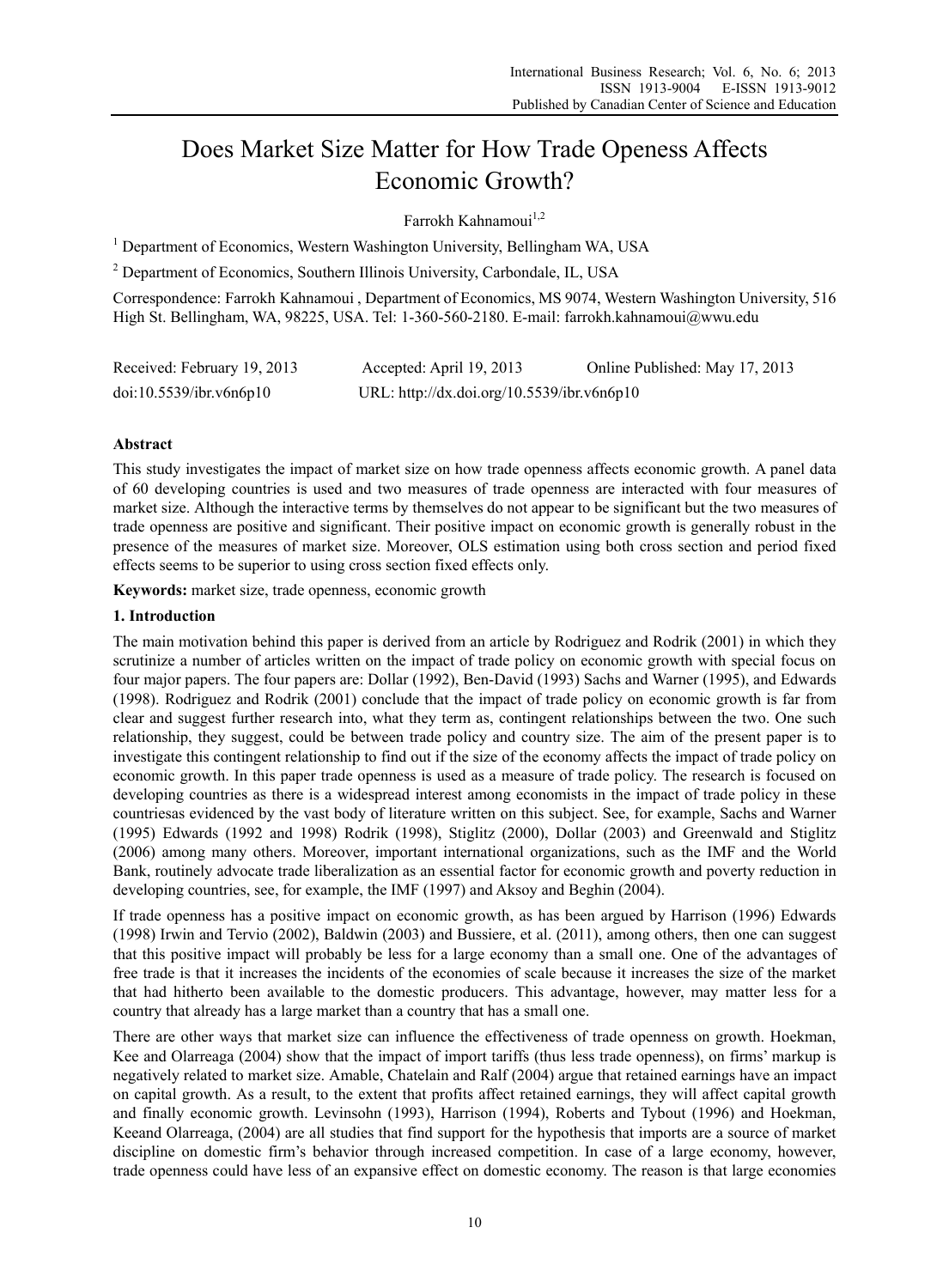# Does Market Size Matter for How Trade Openess Affects Economic Growth?

Farrokh Kahnamoui $1,2$ 

<sup>1</sup> Department of Economics, Western Washington University, Bellingham WA, USA

<sup>2</sup> Department of Economics, Southern Illinois University, Carbondale, IL, USA

Correspondence: Farrokh Kahnamoui , Department of Economics, MS 9074, Western Washington University, 516 High St. Bellingham, WA, 98225, USA. Tel: 1-360-560-2180. E-mail: farrokh.kahnamoui@wwu.edu

| Received: February 19, 2013 | Accepted: April 19, 2013                   | Online Published: May 17, 2013 |
|-----------------------------|--------------------------------------------|--------------------------------|
| doi:10.5539/ibr.v6n6p10     | URL: http://dx.doi.org/10.5539/ibr.v6n6p10 |                                |

# **Abstract**

This study investigates the impact of market size on how trade openness affects economic growth. A panel data of 60 developing countries is used and two measures of trade openness are interacted with four measures of market size. Although the interactive terms by themselves do not appear to be significant but the two measures of trade openness are positive and significant. Their positive impact on economic growth is generally robust in the presence of the measures of market size. Moreover, OLS estimation using both cross section and period fixed effects seems to be superior to using cross section fixed effects only.

**Keywords:** market size, trade openness, economic growth

## **1. Introduction**

The main motivation behind this paper is derived from an article by Rodriguez and Rodrik (2001) in which they scrutinize a number of articles written on the impact of trade policy on economic growth with special focus on four major papers. The four papers are: Dollar (1992), Ben-David (1993) Sachs and Warner (1995), and Edwards (1998). Rodriguez and Rodrik (2001) conclude that the impact of trade policy on economic growth is far from clear and suggest further research into, what they term as, contingent relationships between the two. One such relationship, they suggest, could be between trade policy and country size. The aim of the present paper is to investigate this contingent relationship to find out if the size of the economy affects the impact of trade policy on economic growth. In this paper trade openness is used as a measure of trade policy. The research is focused on developing countries as there is a widespread interest among economists in the impact of trade policy in these countriesas evidenced by the vast body of literature written on this subject. See, for example, Sachs and Warner (1995) Edwards (1992 and 1998) Rodrik (1998), Stiglitz (2000), Dollar (2003) and Greenwald and Stiglitz (2006) among many others. Moreover, important international organizations, such as the IMF and the World Bank, routinely advocate trade liberalization as an essential factor for economic growth and poverty reduction in developing countries, see, for example, the IMF (1997) and Aksoy and Beghin (2004).

If trade openness has a positive impact on economic growth, as has been argued by Harrison (1996) Edwards (1998) Irwin and Tervio (2002), Baldwin (2003) and Bussiere, et al. (2011), among others, then one can suggest that this positive impact will probably be less for a large economy than a small one. One of the advantages of free trade is that it increases the incidents of the economies of scale because it increases the size of the market that had hitherto been available to the domestic producers. This advantage, however, may matter less for a country that already has a large market than a country that has a small one.

There are other ways that market size can influence the effectiveness of trade openness on growth. Hoekman, Kee and Olarreaga (2004) show that the impact of import tariffs (thus less trade openness), on firms' markup is negatively related to market size. Amable, Chatelain and Ralf (2004) argue that retained earnings have an impact on capital growth. As a result, to the extent that profits affect retained earnings, they will affect capital growth and finally economic growth. Levinsohn (1993), Harrison (1994), Roberts and Tybout (1996) and Hoekman, Keeand Olarreaga, (2004) are all studies that find support for the hypothesis that imports are a source of market discipline on domestic firm's behavior through increased competition. In case of a large economy, however, trade openness could have less of an expansive effect on domestic economy. The reason is that large economies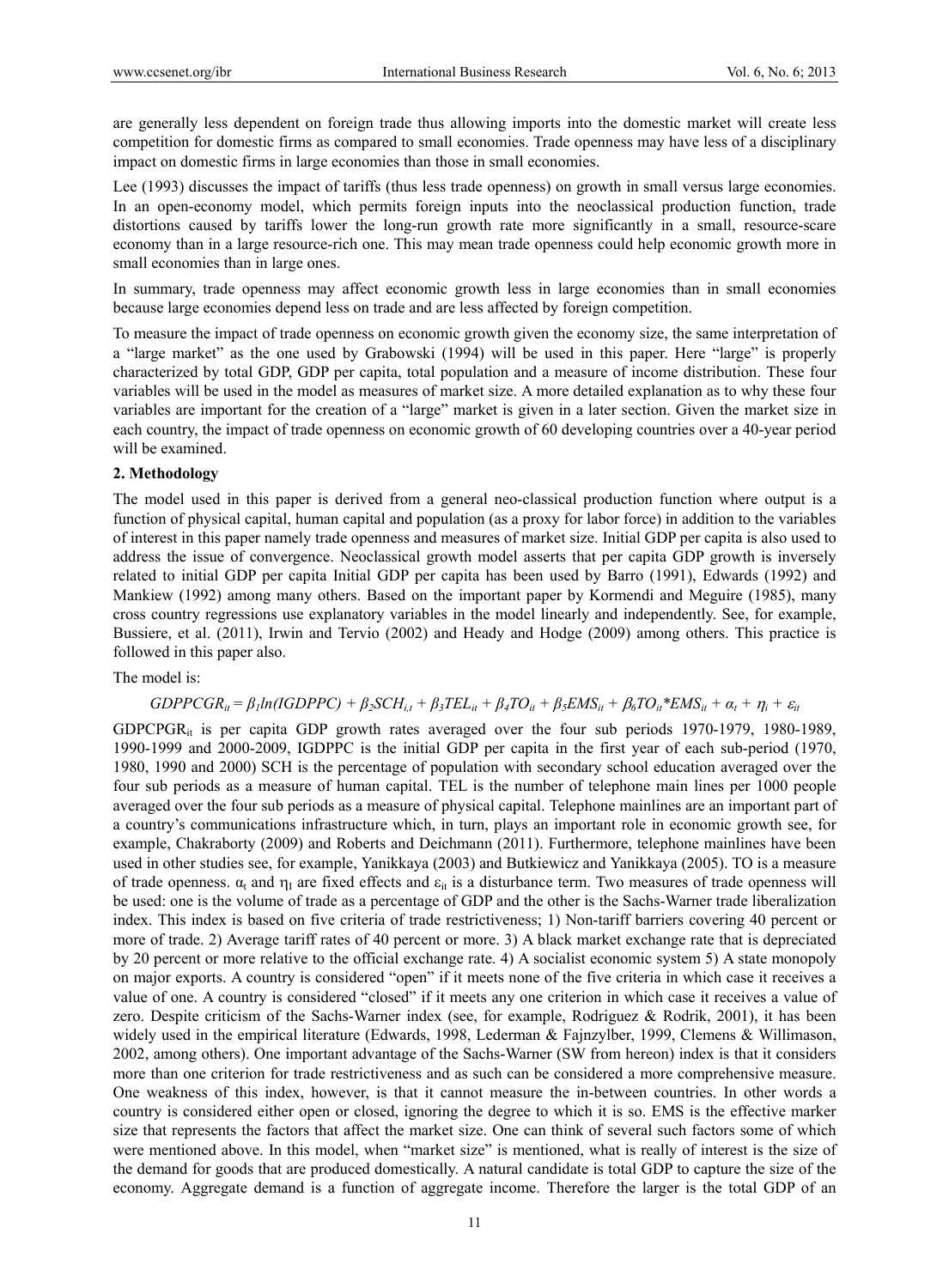are generally less dependent on foreign trade thus allowing imports into the domestic market will create less competition for domestic firms as compared to small economies. Trade openness may have less of a disciplinary impact on domestic firms in large economies than those in small economies.

Lee (1993) discusses the impact of tariffs (thus less trade openness) on growth in small versus large economies. In an open-economy model, which permits foreign inputs into the neoclassical production function, trade distortions caused by tariffs lower the long-run growth rate more significantly in a small, resource-scare economy than in a large resource-rich one. This may mean trade openness could help economic growth more in small economies than in large ones.

In summary, trade openness may affect economic growth less in large economies than in small economies because large economies depend less on trade and are less affected by foreign competition.

To measure the impact of trade openness on economic growth given the economy size, the same interpretation of a "large market" as the one used by Grabowski (1994) will be used in this paper. Here "large" is properly characterized by total GDP, GDP per capita, total population and a measure of income distribution. These four variables will be used in the model as measures of market size. A more detailed explanation as to why these four variables are important for the creation of a "large" market is given in a later section. Given the market size in each country, the impact of trade openness on economic growth of 60 developing countries over a 40-year period will be examined.

## **2. Methodology**

The model used in this paper is derived from a general neo-classical production function where output is a function of physical capital, human capital and population (as a proxy for labor force) in addition to the variables of interest in this paper namely trade openness and measures of market size. Initial GDP per capita is also used to address the issue of convergence. Neoclassical growth model asserts that per capita GDP growth is inversely related to initial GDP per capita Initial GDP per capita has been used by Barro (1991), Edwards (1992) and Mankiew (1992) among many others. Based on the important paper by Kormendi and Meguire (1985), many cross country regressions use explanatory variables in the model linearly and independently. See, for example, Bussiere, et al. (2011), Irwin and Tervio (2002) and Heady and Hodge (2009) among others. This practice is followed in this paper also.

The model is:

$$
GDPPCGR_{it} = \beta_1 ln(IGDPPC) + \beta_2 SCH_{i,t} + \beta_3 TEL_{it} + \beta_4 TO_{it} + \beta_5 EMS_{it} + \beta_6 TO_{it} * EMS_{it} + \alpha_t + \eta_i + \varepsilon_{it}
$$

 $GDPCPGR_{it}$  is per capita GDP growth rates averaged over the four sub periods 1970-1979, 1980-1989, 1990-1999 and 2000-2009, IGDPPC is the initial GDP per capita in the first year of each sub-period (1970, 1980, 1990 and 2000) SCH is the percentage of population with secondary school education averaged over the four sub periods as a measure of human capital. TEL is the number of telephone main lines per 1000 people averaged over the four sub periods as a measure of physical capital. Telephone mainlines are an important part of a country's communications infrastructure which, in turn, plays an important role in economic growth see, for example, Chakraborty (2009) and Roberts and Deichmann (2011). Furthermore, telephone mainlines have been used in other studies see, for example, Yanikkaya (2003) and Butkiewicz and Yanikkaya (2005). TO is a measure of trade openness.  $\alpha_t$  and  $\eta_l$  are fixed effects and  $\varepsilon_{it}$  is a disturbance term. Two measures of trade openness will be used: one is the volume of trade as a percentage of GDP and the other is the Sachs-Warner trade liberalization index. This index is based on five criteria of trade restrictiveness; 1) Non-tariff barriers covering 40 percent or more of trade. 2) Average tariff rates of 40 percent or more. 3) A black market exchange rate that is depreciated by 20 percent or more relative to the official exchange rate. 4) A socialist economic system 5) A state monopoly on major exports. A country is considered "open" if it meets none of the five criteria in which case it receives a value of one. A country is considered "closed" if it meets any one criterion in which case it receives a value of zero. Despite criticism of the Sachs-Warner index (see, for example, Rodriguez & Rodrik, 2001), it has been widely used in the empirical literature (Edwards, 1998, Lederman & Fajnzylber, 1999, Clemens & Willimason, 2002, among others). One important advantage of the Sachs-Warner (SW from hereon) index is that it considers more than one criterion for trade restrictiveness and as such can be considered a more comprehensive measure. One weakness of this index, however, is that it cannot measure the in-between countries. In other words a country is considered either open or closed, ignoring the degree to which it is so. EMS is the effective marker size that represents the factors that affect the market size. One can think of several such factors some of which were mentioned above. In this model, when "market size" is mentioned, what is really of interest is the size of the demand for goods that are produced domestically. A natural candidate is total GDP to capture the size of the economy. Aggregate demand is a function of aggregate income. Therefore the larger is the total GDP of an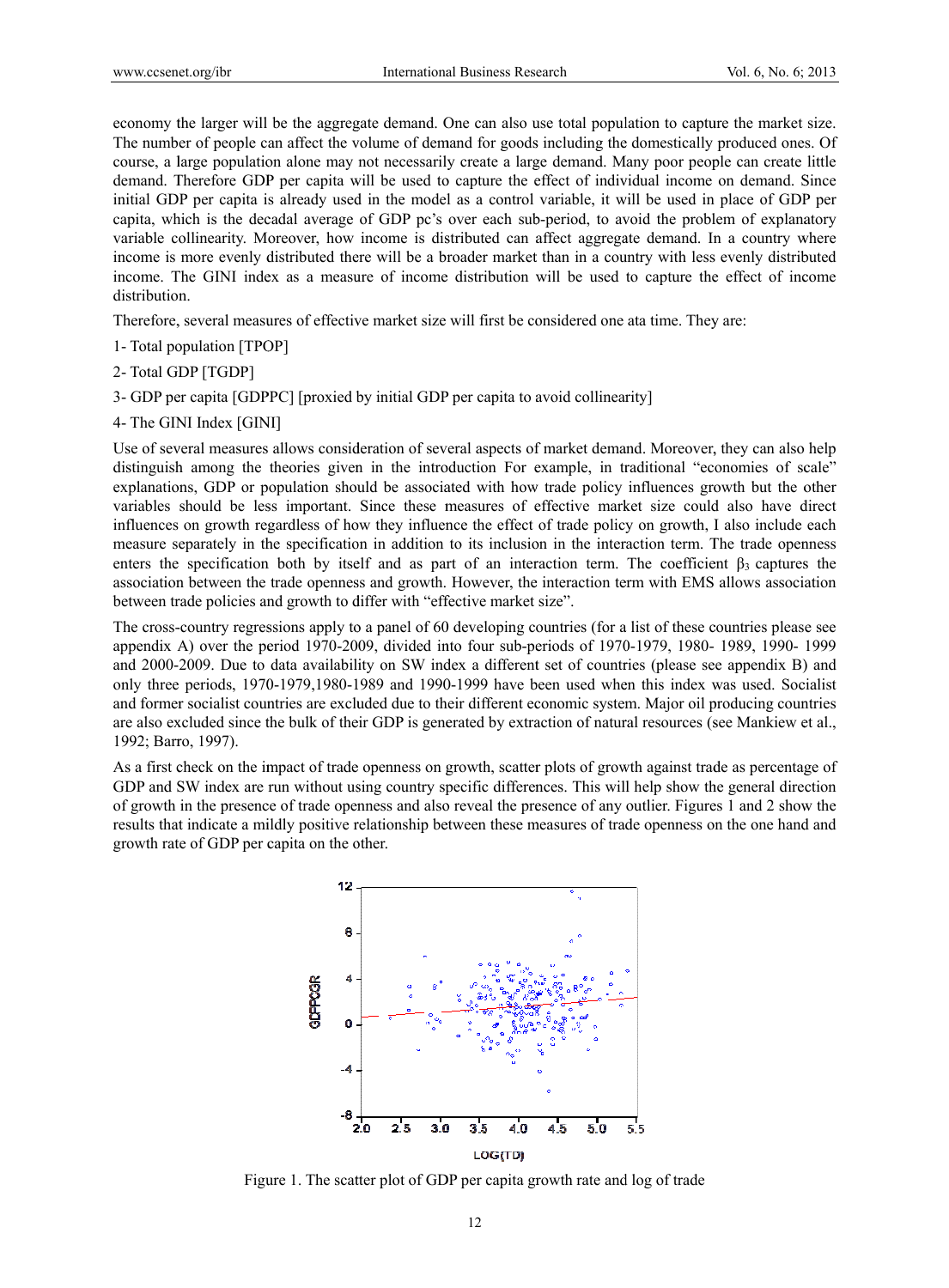economy the larger will be the aggregate demand. One can also use total population to capture the market size. The number of people can affect the volume of demand for goods including the domestically produced ones. Of course, a large population alone may not necessarily create a large demand. Many poor people can create little demand. Therefore GDP per capita will be used to capture the effect of individual income on demand. Since initial GDP per capita is already used in the model as a control variable, it will be used in place of GDP per capita, which is the decadal average of GDP pc's over each sub-period, to avoid the problem of explanatory variable collinearity. Moreover, how income is distributed can affect aggregate demand. In a country where income is more evenly distributed there will be a broader market than in a country with less evenly distributed income. The GINI index as a measure of income distribution will be used to capture the effect of income distributio n.

Therefore, several measures of effective market size will first be considered one ata time. They are:

- 1- Total population [TPOP]
- 2- Total GD DP [TGDP]
- 3- GDP per capita [GDPPC] [proxied by initial GDP per capita to avoid collinearity]
- 4- The GINI Index [GINI]

Use of several measures allows consideration of several aspects of market demand. Moreover, they can also help distinguish among the theories given in the introduction For example, in traditional "economies of scale" explanations, GDP or population should be associated with how trade policy influences growth but the other variables should be less important. Since these measures of effective market size could also have direct influences on growth regardless of how they influence the effect of trade policy on growth, I also include each measure separately in the specification in addition to its inclusion in the interaction term. The trade openness enters the specification both by itself and as part of an interaction term. The coefficient  $\beta_3$  captures the association between the trade openness and growth. However, the interaction term with EMS allows association between trade policies and growth to differ with "effective market size".

The cross-country regressions apply to a panel of 60 developing countries (for a list of these countries please see appendix A) over the period 1970-2009, divided into four sub-periods of 1970-1979, 1980- 1989, 1990- 1999 and 2000-2009. Due to data availability on SW index a different set of countries (please see appendix B) and only three periods, 1970-1979,1980-1989 and 1990-1999 have been used when this index was used. Socialist and former socialist countries are excluded due to their different economic system. Major oil producing countries are also excluded since the bulk of their GDP is generated by extraction of natural resources (see Mankiew et al., 1992; Barro, 1997).

As a first check on the impact of trade openness on growth, scatter plots of growth against trade as percentage of GDP and SW index are run without using country specific differences. This will help show the general direction of growth in the presence of trade openness and also reveal the presence of any outlier. Figures 1 and 2 show the results that indicate a mildly positive relationship between these measures of trade openness on the one hand and growth rate of GDP per capita on the other.



Figure 1. The scatter plot of GDP per capita growth rate and log of trade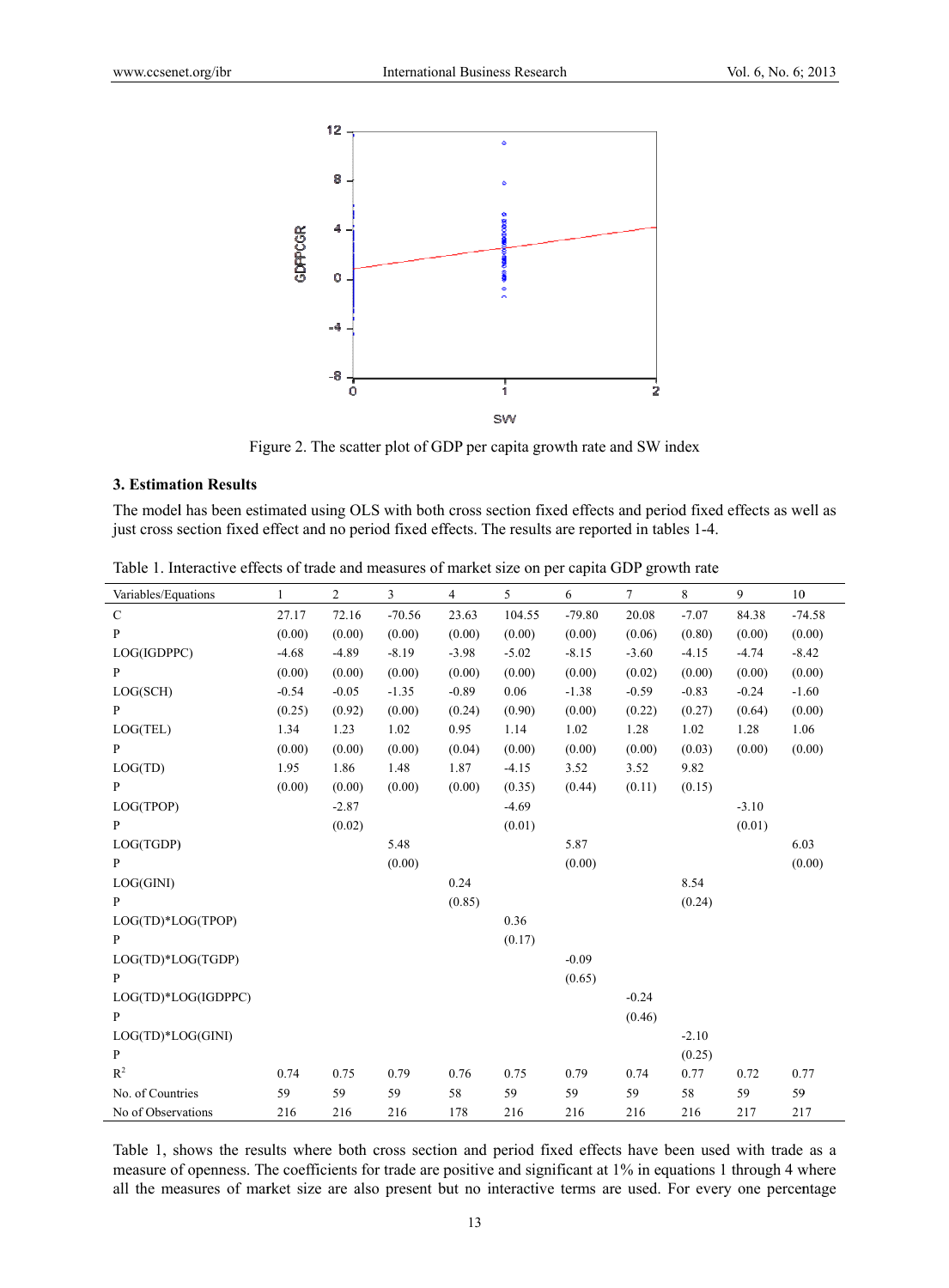

Figure 2. The scatter plot of GDP per capita growth rate and SW index

### **3. Estimat tion Results**

The model has been estimated using OLS with both cross section fixed effects and period fixed effects as well as just cross section fixed effect and no period fixed effects. The results are reported in tables 1-4.

| Table 1. Interactive effects of trade and measures of market size on per capita GDP growth rate |         |                |                |                |         |          |                 |         |         |          |
|-------------------------------------------------------------------------------------------------|---------|----------------|----------------|----------------|---------|----------|-----------------|---------|---------|----------|
| Variables/Equations                                                                             | 1       | $\overline{2}$ | $\overline{3}$ | $\overline{4}$ | 5       | 6        | $7\overline{ }$ | 8       | 9       | 10       |
| $\mathcal{C}$                                                                                   | 27.17   | 72.16          | $-70.56$       | 23.63          | 104.55  | $-79.80$ | 20.08           | $-7.07$ | 84.38   | $-74.58$ |
| ${\bf P}$                                                                                       | (0.00)  | (0.00)         | (0.00)         | (0.00)         | (0.00)  | (0.00)   | (0.06)          | (0.80)  | (0.00)  | (0.00)   |
| LOG(IGDPPC)                                                                                     | $-4.68$ | $-4.89$        | $-8.19$        | $-3.98$        | $-5.02$ | $-8.15$  | $-3.60$         | $-4.15$ | $-4.74$ | $-8.42$  |
| P                                                                                               | (0.00)  | (0.00)         | (0.00)         | (0.00)         | (0.00)  | (0.00)   | (0.02)          | (0.00)  | (0.00)  | (0.00)   |
| LOG(SCH)                                                                                        | $-0.54$ | $-0.05$        | $-1.35$        | $-0.89$        | 0.06    | $-1.38$  | $-0.59$         | $-0.83$ | $-0.24$ | $-1.60$  |
| P                                                                                               | (0.25)  | (0.92)         | (0.00)         | (0.24)         | (0.90)  | (0.00)   | (0.22)          | (0.27)  | (0.64)  | (0.00)   |
| LOG(TEL)                                                                                        | 1.34    | 1.23           | 1.02           | 0.95           | 1.14    | 1.02     | 1.28            | 1.02    | 1.28    | 1.06     |
| P                                                                                               | (0.00)  | (0.00)         | (0.00)         | (0.04)         | (0.00)  | (0.00)   | (0.00)          | (0.03)  | (0.00)  | (0.00)   |
| LOG(TD)                                                                                         | 1.95    | 1.86           | 1.48           | 1.87           | $-4.15$ | 3.52     | 3.52            | 9.82    |         |          |
| P                                                                                               | (0.00)  | (0.00)         | (0.00)         | (0.00)         | (0.35)  | (0.44)   | (0.11)          | (0.15)  |         |          |
| LOG(TPOP)                                                                                       |         | $-2.87$        |                |                | $-4.69$ |          |                 |         | $-3.10$ |          |
| P                                                                                               |         | (0.02)         |                |                | (0.01)  |          |                 |         | (0.01)  |          |
| LOG(TGDP)                                                                                       |         |                | 5.48           |                |         | 5.87     |                 |         |         | 6.03     |
| P                                                                                               |         |                | (0.00)         |                |         | (0.00)   |                 |         |         | (0.00)   |
| LOG(GINI)                                                                                       |         |                |                | 0.24           |         |          |                 | 8.54    |         |          |
| P                                                                                               |         |                |                | (0.85)         |         |          |                 | (0.24)  |         |          |
| LOG(TD)*LOG(TPOP)                                                                               |         |                |                |                | 0.36    |          |                 |         |         |          |
| P                                                                                               |         |                |                |                | (0.17)  |          |                 |         |         |          |
| LOG(TD)*LOG(TGDP)                                                                               |         |                |                |                |         | $-0.09$  |                 |         |         |          |
| P                                                                                               |         |                |                |                |         | (0.65)   |                 |         |         |          |
| LOG(TD)*LOG(IGDPPC)                                                                             |         |                |                |                |         |          | $-0.24$         |         |         |          |
| P                                                                                               |         |                |                |                |         |          | (0.46)          |         |         |          |
| LOG(TD)*LOG(GINI)                                                                               |         |                |                |                |         |          |                 | $-2.10$ |         |          |
| P                                                                                               |         |                |                |                |         |          |                 | (0.25)  |         |          |
| R <sup>2</sup>                                                                                  | 0.74    | 0.75           | 0.79           | 0.76           | 0.75    | 0.79     | 0.74            | 0.77    | 0.72    | 0.77     |
| No. of Countries                                                                                | 59      | 59             | 59             | 58             | 59      | 59       | 59              | 58      | 59      | 59       |
| No of Observations                                                                              | 216     | 216            | 216            | 178            | 216     | 216      | 216             | 216     | 217     | 217      |

Table 1. Interactive effects of trade and measures of market size on per capita GDP growth rate

Table 1, shows the results where both cross section and period fixed effects have been used with trade as a measure of openness. The coefficients for trade are positive and significant at 1% in equations 1 through 4 where all the measures of market size are also present but no interactive terms are used. For every one percentage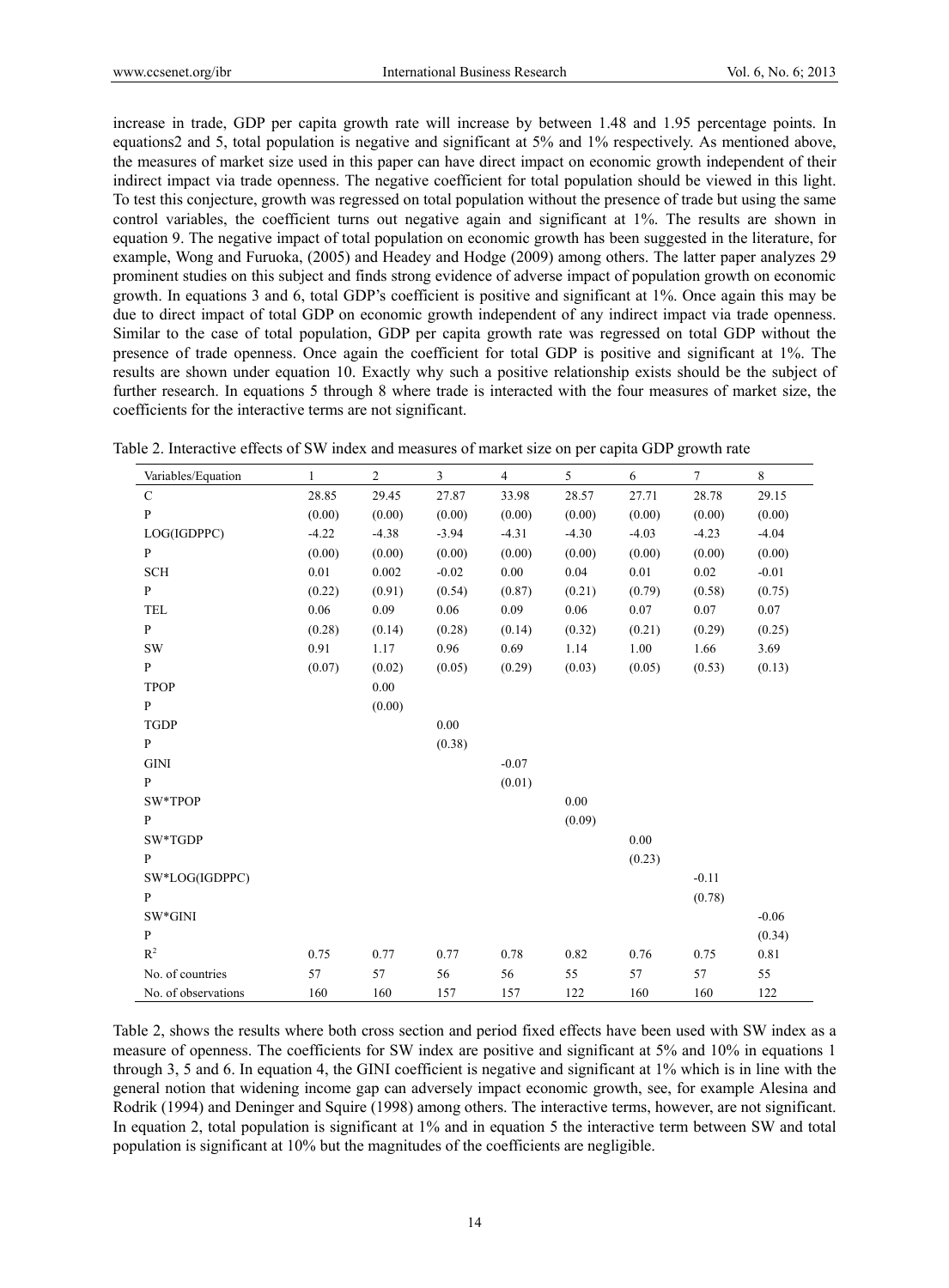increase in trade, GDP per capita growth rate will increase by between 1.48 and 1.95 percentage points. In equations2 and 5, total population is negative and significant at 5% and 1% respectively. As mentioned above, the measures of market size used in this paper can have direct impact on economic growth independent of their indirect impact via trade openness. The negative coefficient for total population should be viewed in this light. To test this conjecture, growth was regressed on total population without the presence of trade but using the same control variables, the coefficient turns out negative again and significant at 1%. The results are shown in equation 9. The negative impact of total population on economic growth has been suggested in the literature, for example, Wong and Furuoka, (2005) and Headey and Hodge (2009) among others. The latter paper analyzes 29 prominent studies on this subject and finds strong evidence of adverse impact of population growth on economic growth. In equations 3 and 6, total GDP's coefficient is positive and significant at 1%. Once again this may be due to direct impact of total GDP on economic growth independent of any indirect impact via trade openness. Similar to the case of total population, GDP per capita growth rate was regressed on total GDP without the presence of trade openness. Once again the coefficient for total GDP is positive and significant at 1%. The results are shown under equation 10. Exactly why such a positive relationship exists should be the subject of further research. In equations 5 through 8 where trade is interacted with the four measures of market size, the coefficients for the interactive terms are not significant.

| Variables/Equation   | 1       | $\overline{2}$ | $\overline{3}$ | $\overline{4}$ | 5       | 6       | $\overline{7}$ | 8       |
|----------------------|---------|----------------|----------------|----------------|---------|---------|----------------|---------|
| $\mathbf C$          | 28.85   | 29.45          | 27.87          | 33.98          | 28.57   | 27.71   | 28.78          | 29.15   |
| $\mathbf{P}$         | (0.00)  | (0.00)         | (0.00)         | (0.00)         | (0.00)  | (0.00)  | (0.00)         | (0.00)  |
| LOG(IGDPPC)          | $-4.22$ | $-4.38$        | $-3.94$        | $-4.31$        | $-4.30$ | $-4.03$ | $-4.23$        | $-4.04$ |
| P                    | (0.00)  | (0.00)         | (0.00)         | (0.00)         | (0.00)  | (0.00)  | (0.00)         | (0.00)  |
| $\operatorname{SCH}$ | 0.01    | 0.002          | $-0.02$        | 0.00           | 0.04    | 0.01    | 0.02           | $-0.01$ |
| $\mathbf{P}$         | (0.22)  | (0.91)         | (0.54)         | (0.87)         | (0.21)  | (0.79)  | (0.58)         | (0.75)  |
| <b>TEL</b>           | 0.06    | 0.09           | 0.06           | 0.09           | 0.06    | 0.07    | 0.07           | 0.07    |
| P                    | (0.28)  | (0.14)         | (0.28)         | (0.14)         | (0.32)  | (0.21)  | (0.29)         | (0.25)  |
| <b>SW</b>            | 0.91    | 1.17           | 0.96           | 0.69           | 1.14    | 1.00    | 1.66           | 3.69    |
| $\, {\bf p}$         | (0.07)  | (0.02)         | (0.05)         | (0.29)         | (0.03)  | (0.05)  | (0.53)         | (0.13)  |
| <b>TPOP</b>          |         | 0.00           |                |                |         |         |                |         |
| $\mathbf{P}$         |         | (0.00)         |                |                |         |         |                |         |
| <b>TGDP</b>          |         |                | 0.00           |                |         |         |                |         |
| $\mathbf{P}$         |         |                | (0.38)         |                |         |         |                |         |
| <b>GINI</b>          |         |                |                | $-0.07$        |         |         |                |         |
| P                    |         |                |                | (0.01)         |         |         |                |         |
| SW*TPOP              |         |                |                |                | 0.00    |         |                |         |
| $\mathbf{P}$         |         |                |                |                | (0.09)  |         |                |         |
| SW*TGDP              |         |                |                |                |         | 0.00    |                |         |
| P                    |         |                |                |                |         | (0.23)  |                |         |
| SW*LOG(IGDPPC)       |         |                |                |                |         |         | $-0.11$        |         |
| P                    |         |                |                |                |         |         | (0.78)         |         |
| SW*GINI              |         |                |                |                |         |         |                | $-0.06$ |
| $\mathbf{P}$         |         |                |                |                |         |         |                | (0.34)  |
| $R^2$                | 0.75    | 0.77           | 0.77           | 0.78           | 0.82    | 0.76    | 0.75           | 0.81    |
| No. of countries     | 57      | 57             | 56             | 56             | 55      | 57      | 57             | 55      |
| No. of observations  | 160     | 160            | 157            | 157            | 122     | 160     | 160            | 122     |

Table 2. Interactive effects of SW index and measures of market size on per capita GDP growth rate

Table 2, shows the results where both cross section and period fixed effects have been used with SW index as a measure of openness. The coefficients for SW index are positive and significant at 5% and 10% in equations 1 through 3, 5 and 6. In equation 4, the GINI coefficient is negative and significant at 1% which is in line with the general notion that widening income gap can adversely impact economic growth, see, for example Alesina and Rodrik (1994) and Deninger and Squire (1998) among others. The interactive terms, however, are not significant. In equation 2, total population is significant at 1% and in equation 5 the interactive term between SW and total population is significant at 10% but the magnitudes of the coefficients are negligible.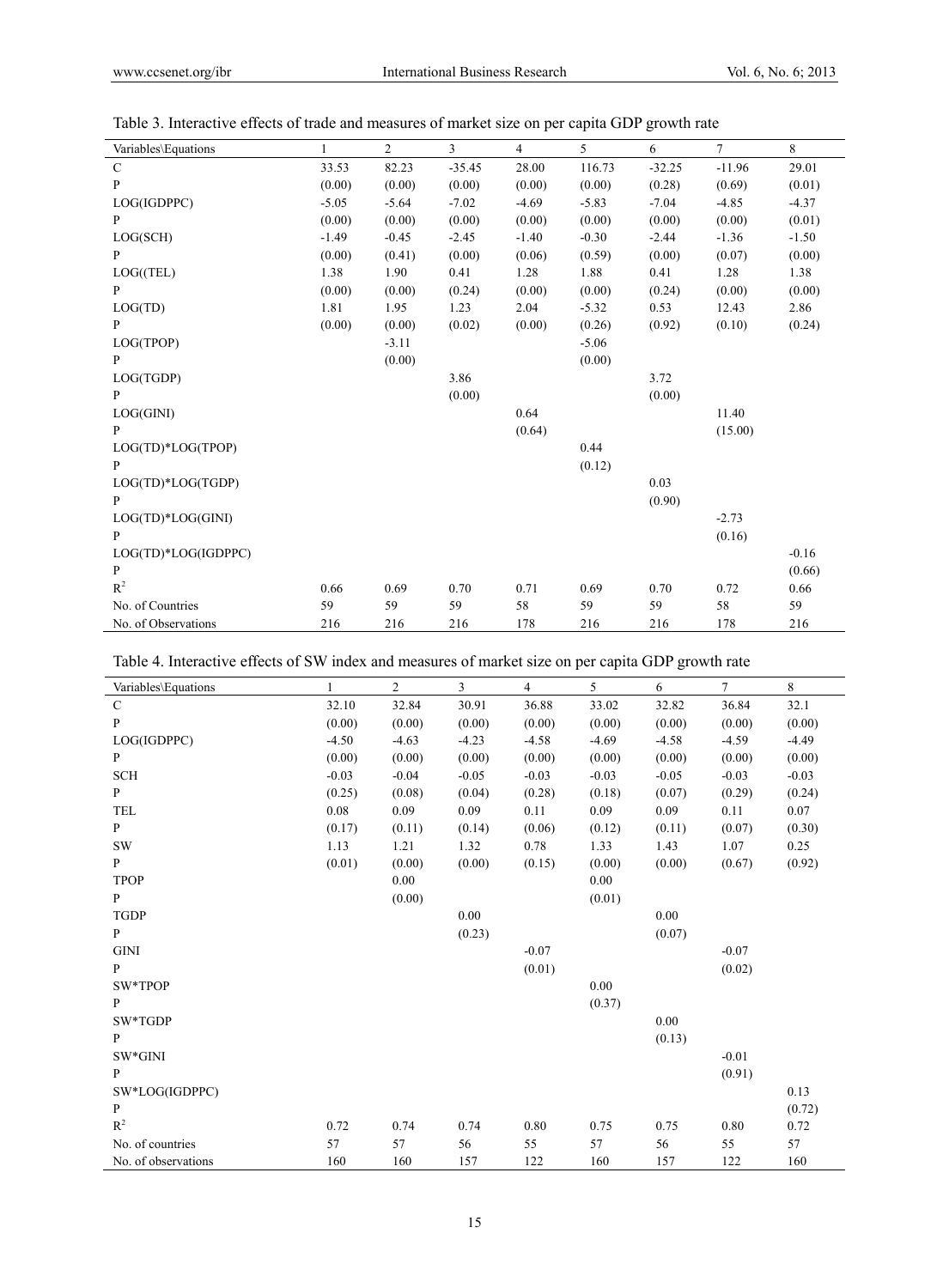| Variables\Equations | 1       | $\overline{c}$ | $\overline{3}$ | $\overline{4}$ | 5       | 6        | $\overline{7}$ | 8       |
|---------------------|---------|----------------|----------------|----------------|---------|----------|----------------|---------|
| C                   | 33.53   | 82.23          | $-35.45$       | 28.00          | 116.73  | $-32.25$ | $-11.96$       | 29.01   |
| P                   | (0.00)  | (0.00)         | (0.00)         | (0.00)         | (0.00)  | (0.28)   | (0.69)         | (0.01)  |
| LOG(IGDPPC)         | $-5.05$ | $-5.64$        | $-7.02$        | $-4.69$        | $-5.83$ | $-7.04$  | $-4.85$        | $-4.37$ |
| P                   | (0.00)  | (0.00)         | (0.00)         | (0.00)         | (0.00)  | (0.00)   | (0.00)         | (0.01)  |
| LOG(SCH)            | $-1.49$ | $-0.45$        | $-2.45$        | $-1.40$        | $-0.30$ | $-2.44$  | $-1.36$        | $-1.50$ |
| P                   | (0.00)  | (0.41)         | (0.00)         | (0.06)         | (0.59)  | (0.00)   | (0.07)         | (0.00)  |
| LOG((TEL)           | 1.38    | 1.90           | 0.41           | 1.28           | 1.88    | 0.41     | 1.28           | 1.38    |
| P                   | (0.00)  | (0.00)         | (0.24)         | (0.00)         | (0.00)  | (0.24)   | (0.00)         | (0.00)  |
| LOG(TD)             | 1.81    | 1.95           | 1.23           | 2.04           | $-5.32$ | 0.53     | 12.43          | 2.86    |
| P                   | (0.00)  | (0.00)         | (0.02)         | (0.00)         | (0.26)  | (0.92)   | (0.10)         | (0.24)  |
| LOG(TPOP)           |         | $-3.11$        |                |                | $-5.06$ |          |                |         |
| P                   |         | (0.00)         |                |                | (0.00)  |          |                |         |
| LOG(TGDP)           |         |                | 3.86           |                |         | 3.72     |                |         |
| P                   |         |                | (0.00)         |                |         | (0.00)   |                |         |
| LOG(GINI)           |         |                |                | 0.64           |         |          | 11.40          |         |
| P                   |         |                |                | (0.64)         |         |          | (15.00)        |         |
| LOG(TD)*LOG(TPOP)   |         |                |                |                | 0.44    |          |                |         |
| P                   |         |                |                |                | (0.12)  |          |                |         |
| LOG(TD)*LOG(TGDP)   |         |                |                |                |         | 0.03     |                |         |
| P                   |         |                |                |                |         | (0.90)   |                |         |
| LOG(TD)*LOG(GINI)   |         |                |                |                |         |          | $-2.73$        |         |
| P                   |         |                |                |                |         |          | (0.16)         |         |
| LOG(TD)*LOG(IGDPPC) |         |                |                |                |         |          |                | $-0.16$ |
| P                   |         |                |                |                |         |          |                | (0.66)  |
| $R^2$               | 0.66    | 0.69           | 0.70           | 0.71           | 0.69    | 0.70     | 0.72           | 0.66    |
| No. of Countries    | 59      | 59             | 59             | 58             | 59      | 59       | 58             | 59      |
| No. of Observations | 216     | 216            | 216            | 178            | 216     | 216      | 178            | 216     |

Table 3. Interactive effects of trade and measures of market size on per capita GDP growth rate

Table 4. Interactive effects of SW index and measures of market size on per capita GDP growth rate

| Variables\Equations | 1       | $\overline{2}$ | $\overline{3}$ | $\overline{4}$ | 5       | 6       | $\tau$  | 8       |
|---------------------|---------|----------------|----------------|----------------|---------|---------|---------|---------|
| $\mathbf C$         | 32.10   | 32.84          | 30.91          | 36.88          | 33.02   | 32.82   | 36.84   | 32.1    |
| $\mathbf{P}$        | (0.00)  | (0.00)         | (0.00)         | (0.00)         | (0.00)  | (0.00)  | (0.00)  | (0.00)  |
| LOG(IGDPPC)         | $-4.50$ | $-4.63$        | $-4.23$        | $-4.58$        | $-4.69$ | $-4.58$ | $-4.59$ | $-4.49$ |
| P                   | (0.00)  | (0.00)         | (0.00)         | (0.00)         | (0.00)  | (0.00)  | (0.00)  | (0.00)  |
| <b>SCH</b>          | $-0.03$ | $-0.04$        | $-0.05$        | $-0.03$        | $-0.03$ | $-0.05$ | $-0.03$ | $-0.03$ |
| P                   | (0.25)  | (0.08)         | (0.04)         | (0.28)         | (0.18)  | (0.07)  | (0.29)  | (0.24)  |
| <b>TEL</b>          | 0.08    | 0.09           | 0.09           | 0.11           | 0.09    | 0.09    | 0.11    | 0.07    |
| P                   | (0.17)  | (0.11)         | (0.14)         | (0.06)         | (0.12)  | (0.11)  | (0.07)  | (0.30)  |
| <b>SW</b>           | 1.13    | 1.21           | 1.32           | 0.78           | 1.33    | 1.43    | 1.07    | 0.25    |
| P                   | (0.01)  | (0.00)         | (0.00)         | (0.15)         | (0.00)  | (0.00)  | (0.67)  | (0.92)  |
| <b>TPOP</b>         |         | 0.00           |                |                | 0.00    |         |         |         |
| P                   |         | (0.00)         |                |                | (0.01)  |         |         |         |
| <b>TGDP</b>         |         |                | 0.00           |                |         | 0.00    |         |         |
| $\mathbf{P}$        |         |                | (0.23)         |                |         | (0.07)  |         |         |
| <b>GINI</b>         |         |                |                | $-0.07$        |         |         | $-0.07$ |         |
| P                   |         |                |                | (0.01)         |         |         | (0.02)  |         |
| SW*TPOP             |         |                |                |                | 0.00    |         |         |         |
| P                   |         |                |                |                | (0.37)  |         |         |         |
| SW*TGDP             |         |                |                |                |         | 0.00    |         |         |
| P                   |         |                |                |                |         | (0.13)  |         |         |
| SW*GINI             |         |                |                |                |         |         | $-0.01$ |         |
| P                   |         |                |                |                |         |         | (0.91)  |         |
| SW*LOG(IGDPPC)      |         |                |                |                |         |         |         | 0.13    |
| P                   |         |                |                |                |         |         |         | (0.72)  |
| $\mathbb{R}^2$      | 0.72    | 0.74           | 0.74           | $0.80\,$       | 0.75    | 0.75    | 0.80    | 0.72    |
| No. of countries    | 57      | 57             | 56             | 55             | 57      | 56      | 55      | 57      |
| No. of observations | 160     | 160            | 157            | 122            | 160     | 157     | 122     | 160     |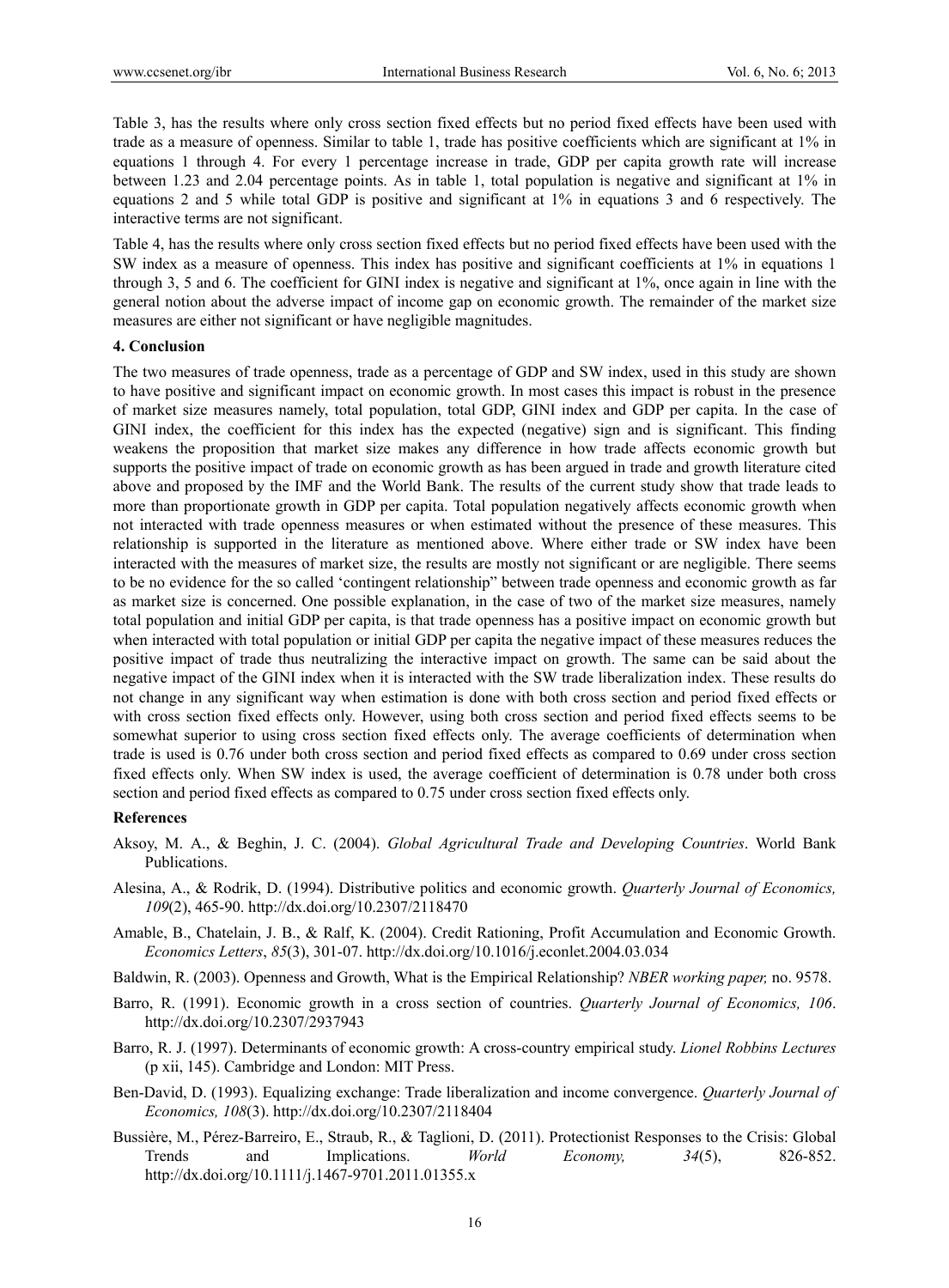Table 3, has the results where only cross section fixed effects but no period fixed effects have been used with trade as a measure of openness. Similar to table 1, trade has positive coefficients which are significant at 1% in equations 1 through 4. For every 1 percentage increase in trade, GDP per capita growth rate will increase between 1.23 and 2.04 percentage points. As in table 1, total population is negative and significant at 1% in equations 2 and 5 while total GDP is positive and significant at 1% in equations 3 and 6 respectively. The interactive terms are not significant.

Table 4, has the results where only cross section fixed effects but no period fixed effects have been used with the SW index as a measure of openness. This index has positive and significant coefficients at 1% in equations 1 through 3, 5 and 6. The coefficient for GINI index is negative and significant at 1%, once again in line with the general notion about the adverse impact of income gap on economic growth. The remainder of the market size measures are either not significant or have negligible magnitudes.

## **4. Conclusion**

The two measures of trade openness, trade as a percentage of GDP and SW index, used in this study are shown to have positive and significant impact on economic growth. In most cases this impact is robust in the presence of market size measures namely, total population, total GDP, GINI index and GDP per capita. In the case of GINI index, the coefficient for this index has the expected (negative) sign and is significant. This finding weakens the proposition that market size makes any difference in how trade affects economic growth but supports the positive impact of trade on economic growth as has been argued in trade and growth literature cited above and proposed by the IMF and the World Bank. The results of the current study show that trade leads to more than proportionate growth in GDP per capita. Total population negatively affects economic growth when not interacted with trade openness measures or when estimated without the presence of these measures. This relationship is supported in the literature as mentioned above. Where either trade or SW index have been interacted with the measures of market size, the results are mostly not significant or are negligible. There seems to be no evidence for the so called 'contingent relationship" between trade openness and economic growth as far as market size is concerned. One possible explanation, in the case of two of the market size measures, namely total population and initial GDP per capita, is that trade openness has a positive impact on economic growth but when interacted with total population or initial GDP per capita the negative impact of these measures reduces the positive impact of trade thus neutralizing the interactive impact on growth. The same can be said about the negative impact of the GINI index when it is interacted with the SW trade liberalization index. These results do not change in any significant way when estimation is done with both cross section and period fixed effects or with cross section fixed effects only. However, using both cross section and period fixed effects seems to be somewhat superior to using cross section fixed effects only. The average coefficients of determination when trade is used is 0.76 under both cross section and period fixed effects as compared to 0.69 under cross section fixed effects only. When SW index is used, the average coefficient of determination is 0.78 under both cross section and period fixed effects as compared to 0.75 under cross section fixed effects only.

#### **References**

- Aksoy, M. A., & Beghin, J. C. (2004). *Global Agricultural Trade and Developing Countries*. World Bank Publications.
- Alesina, A., & Rodrik, D. (1994). Distributive politics and economic growth. *Quarterly Journal of Economics, 109*(2), 465-90. http://dx.doi.org/10.2307/2118470
- Amable, B., Chatelain, J. B., & Ralf, K. (2004). Credit Rationing, Profit Accumulation and Economic Growth. *Economics Letters*, *85*(3), 301-07. http://dx.doi.org/10.1016/j.econlet.2004.03.034
- Baldwin, R. (2003). Openness and Growth, What is the Empirical Relationship? *NBER working paper,* no. 9578.
- Barro, R. (1991). Economic growth in a cross section of countries. *Quarterly Journal of Economics, 106*. http://dx.doi.org/10.2307/2937943
- Barro, R. J. (1997). Determinants of economic growth: A cross-country empirical study. *Lionel Robbins Lectures* (p xii, 145). Cambridge and London: MIT Press.
- Ben-David, D. (1993). Equalizing exchange: Trade liberalization and income convergence. *Quarterly Journal of Economics, 108*(3). http://dx.doi.org/10.2307/2118404
- Bussière, M., Pérez-Barreiro, E., Straub, R., & Taglioni, D. (2011). Protectionist Responses to the Crisis: Global Trends and Implications. *World Economy, 34*(5), 826-852. http://dx.doi.org/10.1111/j.1467-9701.2011.01355.x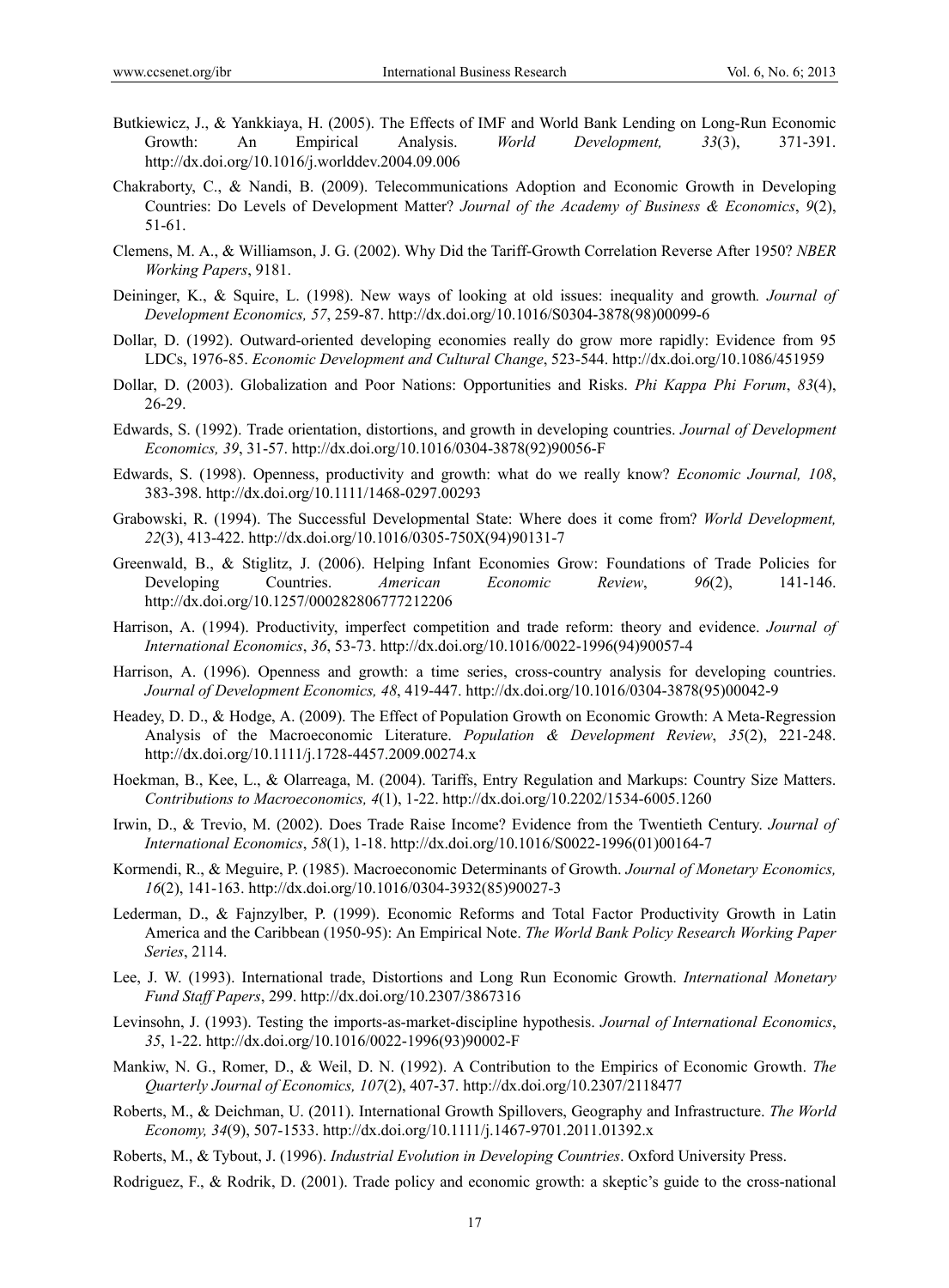- Butkiewicz, J., & Yankkiaya, H. (2005). The Effects of IMF and World Bank Lending on Long-Run Economic Growth: An Empirical Analysis. *World Development, 33*(3), 371-391. http://dx.doi.org/10.1016/j.worlddev.2004.09.006
- Chakraborty, C., & Nandi, B. (2009). Telecommunications Adoption and Economic Growth in Developing Countries: Do Levels of Development Matter? *Journal of the Academy of Business & Economics*, *9*(2), 51-61.
- Clemens, M. A., & Williamson, J. G. (2002). Why Did the Tariff-Growth Correlation Reverse After 1950? *NBER Working Papers*, 9181.
- Deininger, K., & Squire, L. (1998). New ways of looking at old issues: inequality and growth*. Journal of Development Economics, 57*, 259-87. http://dx.doi.org/10.1016/S0304-3878(98)00099-6
- Dollar, D. (1992). Outward-oriented developing economies really do grow more rapidly: Evidence from 95 LDCs, 1976-85. *Economic Development and Cultural Change*, 523-544. http://dx.doi.org/10.1086/451959
- Dollar, D. (2003). Globalization and Poor Nations: Opportunities and Risks. *Phi Kappa Phi Forum*, *83*(4), 26-29.
- Edwards, S. (1992). Trade orientation, distortions, and growth in developing countries. *Journal of Development Economics, 39*, 31-57. http://dx.doi.org/10.1016/0304-3878(92)90056-F
- Edwards, S. (1998). Openness, productivity and growth: what do we really know? *Economic Journal, 108*, 383-398. http://dx.doi.org/10.1111/1468-0297.00293
- Grabowski, R. (1994). The Successful Developmental State: Where does it come from? *World Development, 22*(3), 413-422. http://dx.doi.org/10.1016/0305-750X(94)90131-7
- Greenwald, B., & Stiglitz, J. (2006). Helping Infant Economies Grow: Foundations of Trade Policies for Developing Countries. *American Economic Review*, *96*(2), 141-146. http://dx.doi.org/10.1257/000282806777212206
- Harrison, A. (1994). Productivity, imperfect competition and trade reform: theory and evidence. *Journal of International Economics*, *36*, 53-73. http://dx.doi.org/10.1016/0022-1996(94)90057-4
- Harrison, A. (1996). Openness and growth: a time series, cross-country analysis for developing countries. *Journal of Development Economics, 48*, 419-447. http://dx.doi.org/10.1016/0304-3878(95)00042-9
- Headey, D. D., & Hodge, A. (2009). The Effect of Population Growth on Economic Growth: A Meta-Regression Analysis of the Macroeconomic Literature. *Population & Development Review*, *35*(2), 221-248. http://dx.doi.org/10.1111/j.1728-4457.2009.00274.x
- Hoekman, B., Kee, L., & Olarreaga, M. (2004). Tariffs, Entry Regulation and Markups: Country Size Matters. *Contributions to Macroeconomics, 4*(1), 1-22. http://dx.doi.org/10.2202/1534-6005.1260
- Irwin, D., & Trevio, M. (2002). Does Trade Raise Income? Evidence from the Twentieth Century. *Journal of International Economics*, *58*(1), 1-18. http://dx.doi.org/10.1016/S0022-1996(01)00164-7
- Kormendi, R., & Meguire, P. (1985). Macroeconomic Determinants of Growth. *Journal of Monetary Economics, 16*(2), 141-163. http://dx.doi.org/10.1016/0304-3932(85)90027-3
- Lederman, D., & Fajnzylber, P. (1999). Economic Reforms and Total Factor Productivity Growth in Latin America and the Caribbean (1950-95): An Empirical Note. *The World Bank Policy Research Working Paper Series*, 2114.
- Lee, J. W. (1993). International trade, Distortions and Long Run Economic Growth. *International Monetary Fund Staff Papers*, 299. http://dx.doi.org/10.2307/3867316
- Levinsohn, J. (1993). Testing the imports-as-market-discipline hypothesis. *Journal of International Economics*, *35*, 1-22. http://dx.doi.org/10.1016/0022-1996(93)90002-F
- Mankiw, N. G., Romer, D., & Weil, D. N. (1992). A Contribution to the Empirics of Economic Growth. *The Quarterly Journal of Economics, 107*(2), 407-37. http://dx.doi.org/10.2307/2118477
- Roberts, M., & Deichman, U. (2011). International Growth Spillovers, Geography and Infrastructure. *The World Economy, 34*(9), 507-1533. http://dx.doi.org/10.1111/j.1467-9701.2011.01392.x
- Roberts, M., & Tybout, J. (1996). *Industrial Evolution in Developing Countries*. Oxford University Press.
- Rodriguez, F., & Rodrik, D. (2001). Trade policy and economic growth: a skeptic's guide to the cross-national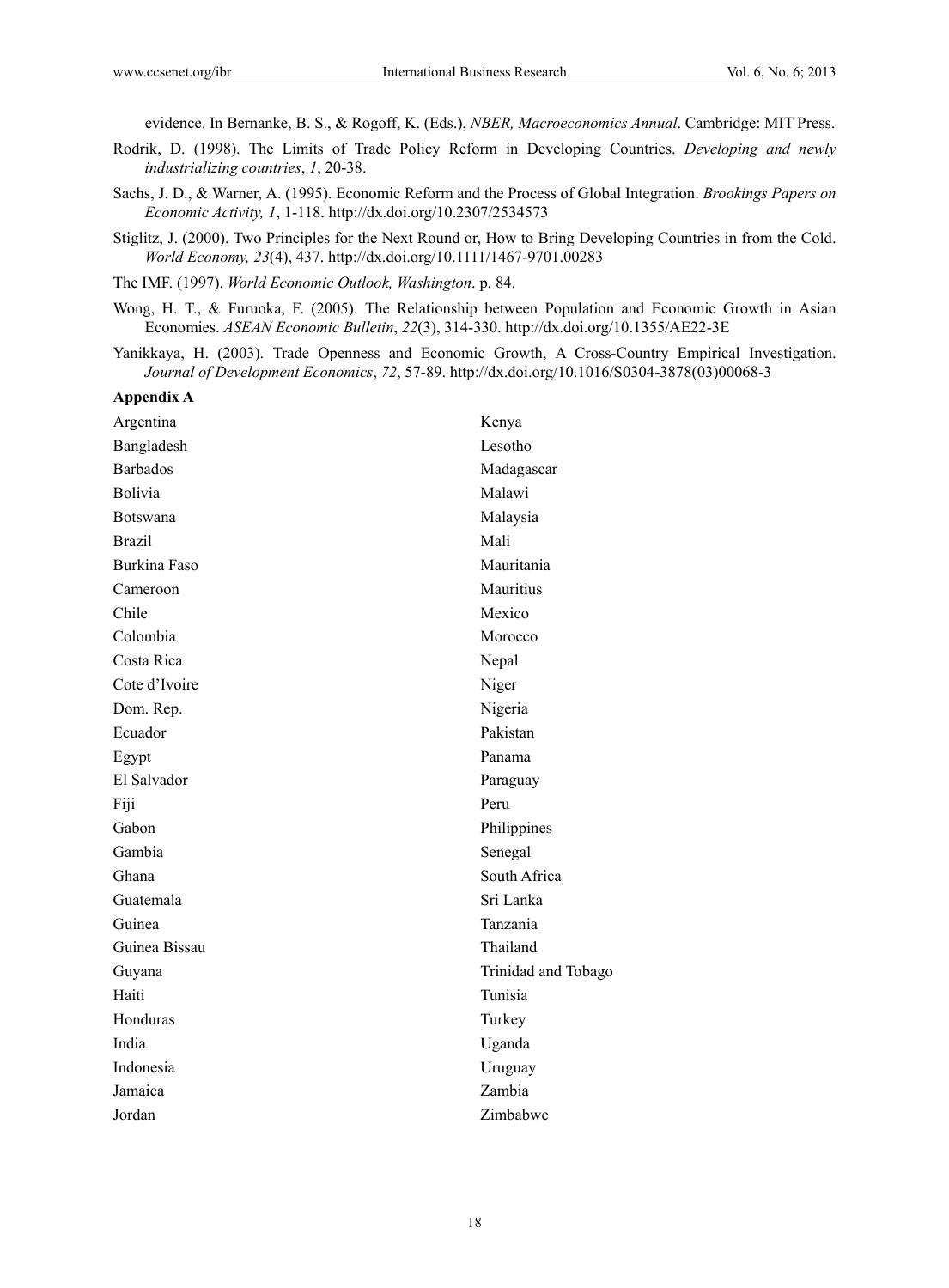evidence. In Bernanke, B. S., & Rogoff, K. (Eds.), *NBER, Macroeconomics Annual*. Cambridge: MIT Press.

- Rodrik, D. (1998). The Limits of Trade Policy Reform in Developing Countries. *Developing and newly industrializing countries*, *1*, 20-38.
- Sachs, J. D., & Warner, A. (1995). Economic Reform and the Process of Global Integration. *Brookings Papers on Economic Activity, 1*, 1-118. http://dx.doi.org/10.2307/2534573
- Stiglitz, J. (2000). Two Principles for the Next Round or, How to Bring Developing Countries in from the Cold. *World Economy, 23*(4), 437. http://dx.doi.org/10.1111/1467-9701.00283

The IMF. (1997). *World Economic Outlook, Washington*. p. 84.

- Wong, H. T., & Furuoka, F. (2005). The Relationship between Population and Economic Growth in Asian Economies. *ASEAN Economic Bulletin*, *22*(3), 314-330. http://dx.doi.org/10.1355/AE22-3E
- Yanikkaya, H. (2003). Trade Openness and Economic Growth, A Cross-Country Empirical Investigation. *Journal of Development Economics*, *72*, 57-89. http://dx.doi.org/10.1016/S0304-3878(03)00068-3

**Appendix A** 

| Argentina       | Kenya               |
|-----------------|---------------------|
| Bangladesh      | Lesotho             |
| <b>Barbados</b> | Madagascar          |
| Bolivia         | Malawi              |
| <b>Botswana</b> | Malaysia            |
| <b>Brazil</b>   | Mali                |
| Burkina Faso    | Mauritania          |
| Cameroon        | Mauritius           |
| Chile           | Mexico              |
| Colombia        | Morocco             |
| Costa Rica      | Nepal               |
| Cote d'Ivoire   | Niger               |
| Dom. Rep.       | Nigeria             |
| Ecuador         | Pakistan            |
| Egypt           | Panama              |
| El Salvador     | Paraguay            |
| Fiji            | Peru                |
| Gabon           | Philippines         |
| Gambia          | Senegal             |
| Ghana           | South Africa        |
| Guatemala       | Sri Lanka           |
| Guinea          | Tanzania            |
| Guinea Bissau   | Thailand            |
| Guyana          | Trinidad and Tobago |
| Haiti           | Tunisia             |
| Honduras        | Turkey              |
| India           | Uganda              |
| Indonesia       | Uruguay             |
| Jamaica         | Zambia              |
| Jordan          | Zimbabwe            |